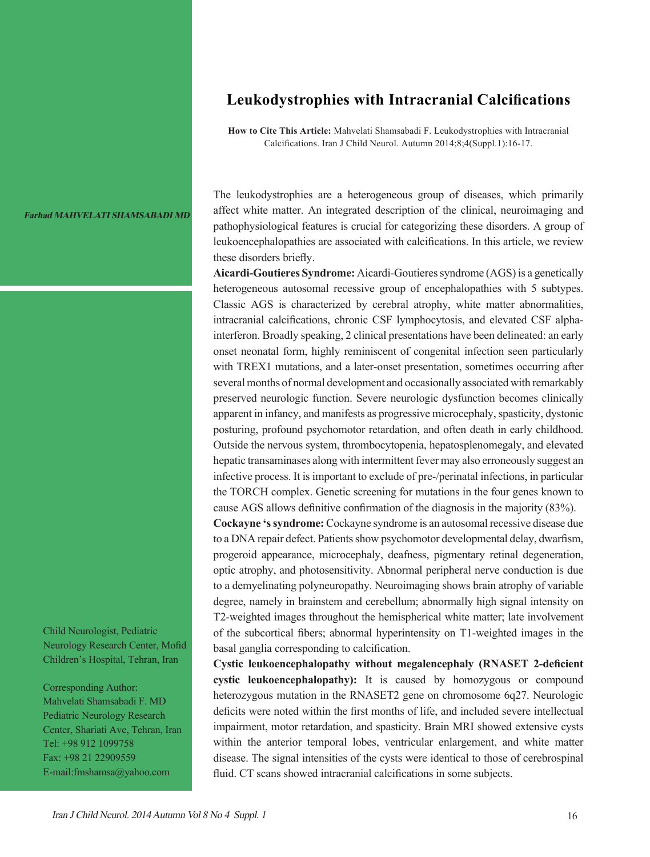## **Leukodystrophies with Intracranial Calcifications**

**How to Cite This Article:** Mahvelati Shamsabadi F. Leukodystrophies with Intracranial Calcifications. Iran J Child Neurol. Autumn 2014;8;4(Suppl.1):16-17.

**Farhad MAHVELATI SHAMSABADI MD**

affect white matter. An integrated description of the clinical, neuroimaging and pathophysiological features is crucial for categorizing these disorders. A group of leukoencephalopathies are associated with calcifications. In this article, we review these disorders briefly. **Aicardi-Goutieres Syndrome:** Aicardi-Goutieres syndrome (AGS) is a genetically

The leukodystrophies are a heterogeneous group of diseases, which primarily

heterogeneous autosomal recessive group of encephalopathies with 5 subtypes. Classic AGS is characterized by cerebral atrophy, white matter abnormalities, intracranial calcifications, chronic CSF lymphocytosis, and elevated CSF alphainterferon. Broadly speaking, 2 clinical presentations have been delineated: an early onset neonatal form, highly reminiscent of congenital infection seen particularly with TREX1 mutations, and a later-onset presentation, sometimes occurring after several months of normal development and occasionally associated with remarkably preserved neurologic function. Severe neurologic dysfunction becomes clinically apparent in infancy, and manifests as progressive microcephaly, spasticity, dystonic posturing, profound psychomotor retardation, and often death in early childhood. Outside the nervous system, thrombocytopenia, hepatosplenomegaly, and elevated hepatic transaminases along with intermittent fever may also erroneously suggest an infective process. It is important to exclude of pre-/perinatal infections, in particular the TORCH complex. Genetic screening for mutations in the four genes known to cause AGS allows definitive confirmation of the diagnosis in the majority (83%).

**Cockayne 's syndrome:** Cockayne syndrome is an autosomal recessive disease due to a DNA repair defect. Patients show psychomotor developmental delay, dwarfism, progeroid appearance, microcephaly, deafness, pigmentary retinal degeneration, optic atrophy, and photosensitivity. Abnormal peripheral nerve conduction is due to a demyelinating polyneuropathy. Neuroimaging shows brain atrophy of variable degree, namely in brainstem and cerebellum; abnormally high signal intensity on T2-weighted images throughout the hemispherical white matter; late involvement of the subcortical fibers; abnormal hyperintensity on T1-weighted images in the basal ganglia corresponding to calcification.

**Cystic leukoencephalopathy without megalencephaly (RNASET 2-deficient cystic leukoencephalopathy):** It is caused by homozygous or compound heterozygous mutation in the RNASET2 gene on chromosome 6q27. Neurologic deficits were noted within the first months of life, and included severe intellectual impairment, motor retardation, and spasticity. Brain MRI showed extensive cysts within the anterior temporal lobes, ventricular enlargement, and white matter disease. The signal intensities of the cysts were identical to those of cerebrospinal fluid. CT scans showed intracranial calcifications in some subjects.

Child Neurologist, Pediatric Neurology Research Center, Mofid Children's Hospital, Tehran, Iran

Corresponding Author: Mahvelati Shamsabadi F. MD Pediatric Neurology Research Center, Shariati Ave, Tehran, Iran Tel: +98 912 1099758 Fax: +98 21 22909559 E-mail:fmshamsa@yahoo.com